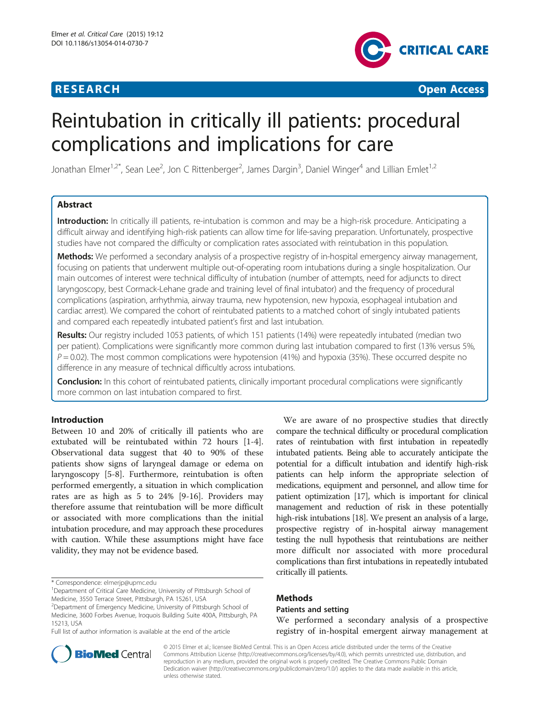

**RESEARCH CHINESE ARCH CHINESE ARCH CHINESE ARCH <b>CHINESE ARCH CHINESE ARCH CHINESE ARCH <b>CHINESE** ARCH **CHINESE ARCH** CHINESE ARCH **CHINESE ARCH 2014** 

# Reintubation in critically ill patients: procedural complications and implications for care

Jonathan Elmer<sup>1,2\*</sup>, Sean Lee<sup>2</sup>, Jon C Rittenberger<sup>2</sup>, James Dargin<sup>3</sup>, Daniel Winger<sup>4</sup> and Lillian Emlet<sup>1,2</sup>

# Abstract

Introduction: In critically ill patients, re-intubation is common and may be a high-risk procedure. Anticipating a difficult airway and identifying high-risk patients can allow time for life-saving preparation. Unfortunately, prospective studies have not compared the difficulty or complication rates associated with reintubation in this population.

Methods: We performed a secondary analysis of a prospective registry of in-hospital emergency airway management, focusing on patients that underwent multiple out-of-operating room intubations during a single hospitalization. Our main outcomes of interest were technical difficulty of intubation (number of attempts, need for adjuncts to direct laryngoscopy, best Cormack-Lehane grade and training level of final intubator) and the frequency of procedural complications (aspiration, arrhythmia, airway trauma, new hypotension, new hypoxia, esophageal intubation and cardiac arrest). We compared the cohort of reintubated patients to a matched cohort of singly intubated patients and compared each repeatedly intubated patient's first and last intubation.

Results: Our registry included 1053 patients, of which 151 patients (14%) were repeatedly intubated (median two per patient). Complications were significantly more common during last intubation compared to first (13% versus 5%,  $P = 0.02$ ). The most common complications were hypotension (41%) and hypoxia (35%). These occurred despite no difference in any measure of technical difficultly across intubations.

**Conclusion:** In this cohort of reintubated patients, clinically important procedural complications were significantly more common on last intubation compared to first.

# Introduction

Between 10 and 20% of critically ill patients who are extubated will be reintubated within 72 hours [[1-4](#page-6-0)]. Observational data suggest that 40 to 90% of these patients show signs of laryngeal damage or edema on laryngoscopy [\[5](#page-6-0)-[8\]](#page-6-0). Furthermore, reintubation is often performed emergently, a situation in which complication rates are as high as 5 to 24% [\[9](#page-6-0)-[16\]](#page-6-0). Providers may therefore assume that reintubation will be more difficult or associated with more complications than the initial intubation procedure, and may approach these procedures with caution. While these assumptions might have face validity, they may not be evidence based.

\* Correspondence: [elmerjp@upmc.edu](mailto:elmerjp@upmc.edu) <sup>1</sup>

Full list of author information is available at the end of the article

We are aware of no prospective studies that directly compare the technical difficulty or procedural complication rates of reintubation with first intubation in repeatedly intubated patients. Being able to accurately anticipate the potential for a difficult intubation and identify high-risk patients can help inform the appropriate selection of medications, equipment and personnel, and allow time for patient optimization [[17](#page-6-0)], which is important for clinical management and reduction of risk in these potentially high-risk intubations [[18\]](#page-6-0). We present an analysis of a large, prospective registry of in-hospital airway management testing the null hypothesis that reintubations are neither more difficult nor associated with more procedural complications than first intubations in repeatedly intubated critically ill patients.

# Methods

# Patients and setting

We performed a secondary analysis of a prospective registry of in-hospital emergent airway management at



© 2015 Elmer et al.; licensee BioMed Central. This is an Open Access article distributed under the terms of the Creative Commons Attribution License [\(http://creativecommons.org/licenses/by/4.0\)](http://creativecommons.org/licenses/by/4.0), which permits unrestricted use, distribution, and reproduction in any medium, provided the original work is properly credited. The Creative Commons Public Domain Dedication waiver [\(http://creativecommons.org/publicdomain/zero/1.0/](http://creativecommons.org/publicdomain/zero/1.0/)) applies to the data made available in this article, unless otherwise stated.

<sup>&</sup>lt;sup>1</sup>Department of Critical Care Medicine, University of Pittsburgh School of Medicine, 3550 Terrace Street, Pittsburgh, PA 15261, USA

<sup>&</sup>lt;sup>2</sup>Department of Emergency Medicine, University of Pittsburgh School of Medicine, 3600 Forbes Avenue, Iroquois Building Suite 400A, Pittsburgh, PA 15213, USA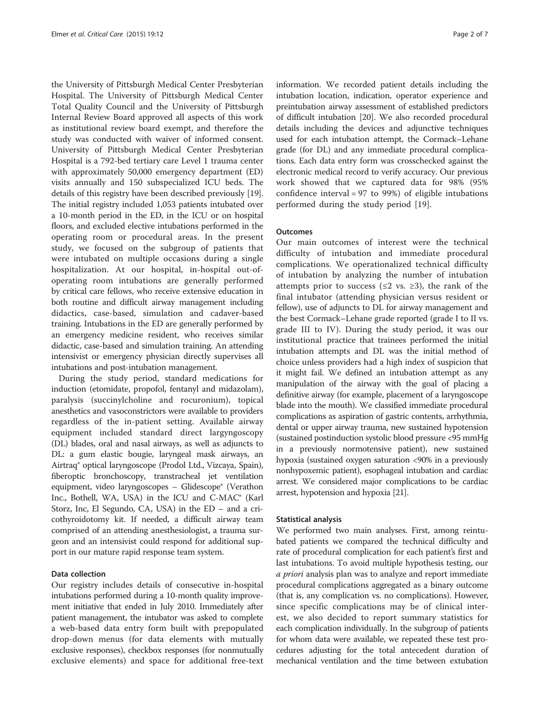the University of Pittsburgh Medical Center Presbyterian Hospital. The University of Pittsburgh Medical Center Total Quality Council and the University of Pittsburgh Internal Review Board approved all aspects of this work as institutional review board exempt, and therefore the study was conducted with waiver of informed consent. University of Pittsburgh Medical Center Presbyterian Hospital is a 792-bed tertiary care Level 1 trauma center with approximately 50,000 emergency department (ED) visits annually and 150 subspecialized ICU beds. The details of this registry have been described previously [[19](#page-6-0)]. The initial registry included 1,053 patients intubated over a 10-month period in the ED, in the ICU or on hospital floors, and excluded elective intubations performed in the operating room or procedural areas. In the present study, we focused on the subgroup of patients that were intubated on multiple occasions during a single hospitalization. At our hospital, in-hospital out-ofoperating room intubations are generally performed by critical care fellows, who receive extensive education in both routine and difficult airway management including didactics, case-based, simulation and cadaver-based training. Intubations in the ED are generally performed by an emergency medicine resident, who receives similar didactic, case-based and simulation training. An attending intensivist or emergency physician directly supervises all intubations and post-intubation management.

During the study period, standard medications for induction (etomidate, propofol, fentanyl and midazolam), paralysis (succinylcholine and rocuronium), topical anesthetics and vasoconstrictors were available to providers regardless of the in-patient setting. Available airway equipment included standard direct largyngoscopy (DL) blades, oral and nasal airways, as well as adjuncts to DL: a gum elastic bougie, laryngeal mask airways, an Airtraq® optical laryngoscope (Prodol Ltd., Vizcaya, Spain), fiberoptic bronchoscopy, transtracheal jet ventilation equipment, video laryngoscopes – Glidescope® (Verathon Inc., Bothell, WA, USA) in the ICU and C-MAC® (Karl Storz, Inc, El Segundo, CA, USA) in the ED – and a cricothyroidotomy kit. If needed, a difficult airway team comprised of an attending anesthesiologist, a trauma surgeon and an intensivist could respond for additional support in our mature rapid response team system.

#### Data collection

Our registry includes details of consecutive in-hospital intubations performed during a 10-month quality improvement initiative that ended in July 2010. Immediately after patient management, the intubator was asked to complete a web-based data entry form built with prepopulated drop-down menus (for data elements with mutually exclusive responses), checkbox responses (for nonmutually exclusive elements) and space for additional free-text information. We recorded patient details including the intubation location, indication, operator experience and preintubation airway assessment of established predictors of difficult intubation [[20](#page-6-0)]. We also recorded procedural details including the devices and adjunctive techniques used for each intubation attempt, the Cormack–Lehane grade (for DL) and any immediate procedural complications. Each data entry form was crosschecked against the electronic medical record to verify accuracy. Our previous work showed that we captured data for 98% (95% confidence interval = 97 to 99%) of eligible intubations performed during the study period [[19\]](#page-6-0).

## **Outcomes**

Our main outcomes of interest were the technical difficulty of intubation and immediate procedural complications. We operationalized technical difficulty of intubation by analyzing the number of intubation attempts prior to success ( $\leq$ 2 vs.  $\geq$ 3), the rank of the final intubator (attending physician versus resident or fellow), use of adjuncts to DL for airway management and the best Cormack–Lehane grade reported (grade I to II vs. grade III to IV). During the study period, it was our institutional practice that trainees performed the initial intubation attempts and DL was the initial method of choice unless providers had a high index of suspicion that it might fail. We defined an intubation attempt as any manipulation of the airway with the goal of placing a definitive airway (for example, placement of a laryngoscope blade into the mouth). We classified immediate procedural complications as aspiration of gastric contents, arrhythmia, dental or upper airway trauma, new sustained hypotension (sustained postinduction systolic blood pressure <95 mmHg in a previously normotensive patient), new sustained hypoxia (sustained oxygen saturation <90% in a previously nonhypoxemic patient), esophageal intubation and cardiac arrest. We considered major complications to be cardiac arrest, hypotension and hypoxia [\[21\]](#page-6-0).

#### Statistical analysis

We performed two main analyses. First, among reintubated patients we compared the technical difficulty and rate of procedural complication for each patient's first and last intubations. To avoid multiple hypothesis testing, our a priori analysis plan was to analyze and report immediate procedural complications aggregated as a binary outcome (that is, any complication vs. no complications). However, since specific complications may be of clinical interest, we also decided to report summary statistics for each complication individually. In the subgroup of patients for whom data were available, we repeated these test procedures adjusting for the total antecedent duration of mechanical ventilation and the time between extubation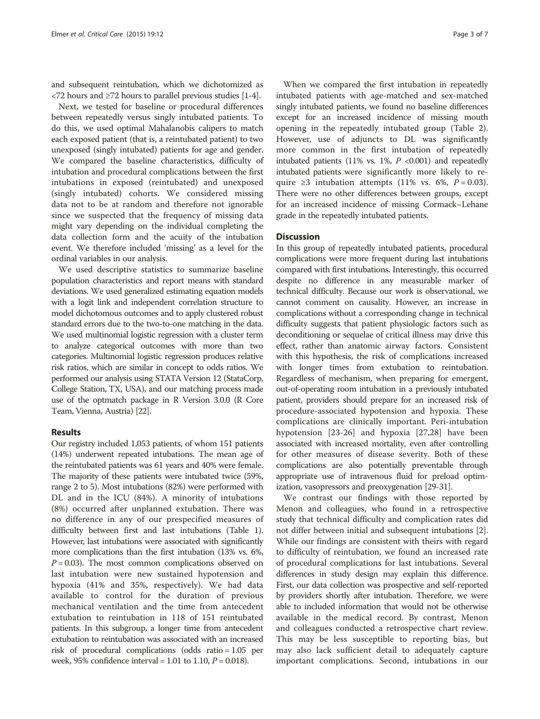and subsequent reintubation, which we dichotomized as <72 hours and ≥72 hours to parallel previous studies [[1](#page-6-0)-[4\]](#page-6-0).

Next, we tested for baseline or procedural differences between repeatedly versus singly intubated patients. To do this, we used optimal Mahalanobis calipers to match each exposed patient (that is, a reintubated patient) to two unexposed (singly intubated) patients for age and gender. We compared the baseline characteristics, difficulty of intubation and procedural complications between the first intubations in exposed (reintubated) and unexposed (singly intubated) cohorts. We considered missing data not to be at random and therefore not ignorable since we suspected that the frequency of missing data might vary depending on the individual completing the data collection form and the acuity of the intubation event. We therefore included 'missing' as a level for the ordinal variables in our analysis.

We used descriptive statistics to summarize baseline population characteristics and report means with standard deviations. We used generalized estimating equation models with a logit link and independent correlation structure to model dichotomous outcomes and to apply clustered robust standard errors due to the two-to-one matching in the data. We used multinomial logistic regression with a cluster term to analyze categorical outcomes with more than two categories. Multinomial logistic regression produces relative risk ratios, which are similar in concept to odds ratios. We performed our analysis using STATA Version 12 (StataCorp, College Station, TX, USA), and our matching process made use of the optmatch package in R Version 3.0.0 (R Core Team, Vienna, Austria) [\[22\]](#page-6-0).

# Results

Our registry included 1,053 patients, of whom 151 patients (14%) underwent repeated intubations. The mean age of the reintubated patients was 61 years and 40% were female. The majority of these patients were intubated twice (59%, range 2 to 5). Most intubations (82%) were performed with DL and in the ICU (84%). A minority of intubations (8%) occurred after unplanned extubation. There was no difference in any of our prespecified measures of difficulty between first and last intubations (Table [1](#page-3-0)). However, last intubations were associated with significantly more complications than the first intubation (13% vs. 6%,  $P = 0.03$ ). The most common complications observed on last intubation were new sustained hypotension and hypoxia (41% and 35%, respectively). We had data available to control for the duration of previous mechanical ventilation and the time from antecedent extubation to reintubation in 118 of 151 reintubated patients. In this subgroup, a longer time from antecedent extubation to reintubation was associated with an increased risk of procedural complications (odds ratio = 1.05 per week, 95% confidence interval = 1.01 to 1.10,  $P = 0.018$ ).

When we compared the first intubation in repeatedly intubated patients with age-matched and sex-matched singly intubated patients, we found no baseline differences except for an increased incidence of missing mouth opening in the repeatedly intubated group (Table [2](#page-4-0)). However, use of adjuncts to DL was significantly more common in the first intubation of repeatedly intubated patients (11% vs. 1%,  $P$  <0.001) and repeatedly intubated patients were significantly more likely to require  $\geq 3$  intubation attempts (11% vs. 6%,  $P = 0.03$ ). There were no other differences between groups, except for an increased incidence of missing Cormack–Lehane grade in the repeatedly intubated patients.

## **Discussion**

In this group of repeatedly intubated patients, procedural complications were more frequent during last intubations compared with first intubations. Interestingly, this occurred despite no difference in any measurable marker of technical difficulty. Because our work is observational, we cannot comment on causality. However, an increase in complications without a corresponding change in technical difficulty suggests that patient physiologic factors such as deconditioning or sequelae of critical illness may drive this effect, rather than anatomic airway factors. Consistent with this hypothesis, the risk of complications increased with longer times from extubation to reintubation. Regardless of mechanism, when preparing for emergent, out-of-operating room intubation in a previously intubated patient, providers should prepare for an increased risk of procedure-associated hypotension and hypoxia. These complications are clinically important. Peri-intubation hypotension [\[23](#page-6-0)-[26\]](#page-6-0) and hypoxia [[27,28](#page-6-0)] have been associated with increased mortality, even after controlling for other measures of disease severity. Both of these complications are also potentially preventable through appropriate use of intravenous fluid for preload optimization, vasopressors and preoxygenation [[29](#page-6-0)-[31](#page-6-0)].

We contrast our findings with those reported by Menon and colleagues, who found in a retrospective study that technical difficulty and complication rates did not differ between initial and subsequent intubations [\[2](#page-6-0)]. While our findings are consistent with theirs with regard to difficulty of reintubation, we found an increased rate of procedural complications for last intubations. Several differences in study design may explain this difference. First, our data collection was prospective and self-reported by providers shortly after intubation. Therefore, we were able to included information that would not be otherwise available in the medical record. By contrast, Menon and colleagues conducted a retrospective chart review. This may be less susceptible to reporting bias, but may also lack sufficient detail to adequately capture important complications. Second, intubations in our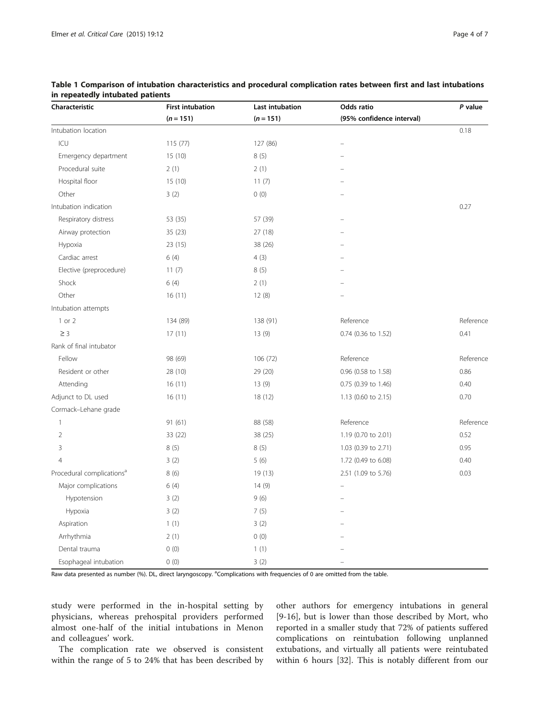| Characteristic                        | <b>First intubation</b> | Last intubation | Odds ratio                | P value   |
|---------------------------------------|-------------------------|-----------------|---------------------------|-----------|
|                                       | $(n = 151)$             | $(n = 151)$     | (95% confidence interval) |           |
| Intubation location                   |                         |                 |                           | 0.18      |
| ICU                                   | 115(77)                 | 127 (86)        |                           |           |
| Emergency department                  | 15(10)                  | 8(5)            |                           |           |
| Procedural suite                      | 2(1)                    | 2(1)            |                           |           |
| Hospital floor                        | 15(10)                  | 11(7)           |                           |           |
| Other                                 | 3(2)                    | 0(0)            |                           |           |
| Intubation indication                 |                         |                 |                           | 0.27      |
| Respiratory distress                  | 53 (35)                 | 57 (39)         |                           |           |
| Airway protection                     | 35(23)                  | 27 (18)         |                           |           |
| Hypoxia                               | 23 (15)                 | 38 (26)         |                           |           |
| Cardiac arrest                        | 6(4)                    | 4(3)            |                           |           |
| Elective (preprocedure)               | 11(7)                   | 8(5)            |                           |           |
| Shock                                 | 6(4)                    | 2(1)            |                           |           |
| Other                                 | 16(11)                  | 12(8)           |                           |           |
| Intubation attempts                   |                         |                 |                           |           |
| 1 or 2                                | 134 (89)                | 138 (91)        | Reference                 | Reference |
| $\geq$ 3                              | 17(11)                  | 13 (9)          | 0.74 (0.36 to 1.52)       | 0.41      |
| Rank of final intubator               |                         |                 |                           |           |
| Fellow                                | 98 (69)                 | 106 (72)        | Reference                 | Reference |
| Resident or other                     | 28 (10)                 | 29(20)          | 0.96 (0.58 to 1.58)       | 0.86      |
| Attending                             | 16(11)                  | 13(9)           | 0.75 (0.39 to 1.46)       | 0.40      |
| Adjunct to DL used                    | 16(11)                  | 18(12)          | 1.13 (0.60 to 2.15)       | 0.70      |
| Cormack-Lehane grade                  |                         |                 |                           |           |
| $\mathbf{1}$                          | 91(61)                  | 88 (58)         | Reference                 | Reference |
| $\overline{2}$                        | 33 (22)                 | 38 (25)         | 1.19 (0.70 to 2.01)       | 0.52      |
| 3                                     | 8(5)                    | 8(5)            | 1.03 (0.39 to 2.71)       | 0.95      |
| $\overline{4}$                        | 3(2)                    | 5(6)            | 1.72 (0.49 to 6.08)       | 0.40      |
| Procedural complications <sup>a</sup> | 8(6)                    | 19 (13)         | 2.51 (1.09 to 5.76)       | 0.03      |
| Major complications                   | 6(4)                    | 14(9)           |                           |           |
| Hypotension                           | 3(2)                    | 9(6)            |                           |           |
| Hypoxia                               | 3(2)                    | 7(5)            |                           |           |
| Aspiration                            | 1(1)                    | 3(2)            |                           |           |
| Arrhythmia                            | 2(1)                    | 0(0)            |                           |           |
| Dental trauma                         | 0(0)                    | 1(1)            |                           |           |
| Esophageal intubation                 | 0(0)                    | 3(2)            |                           |           |

<span id="page-3-0"></span>

|                                  | Table 1 Comparison of intubation characteristics and procedural complication rates between first and last intubations |  |  |  |
|----------------------------------|-----------------------------------------------------------------------------------------------------------------------|--|--|--|
| in repeatedly intubated patients |                                                                                                                       |  |  |  |

Raw data presented as number (%). DL, direct laryngoscopy. <sup>a</sup>Complications with frequencies of 0 are omitted from the table.

study were performed in the in-hospital setting by physicians, whereas prehospital providers performed almost one-half of the initial intubations in Menon and colleagues' work.

The complication rate we observed is consistent within the range of 5 to 24% that has been described by other authors for emergency intubations in general [[9-16](#page-6-0)], but is lower than those described by Mort, who reported in a smaller study that 72% of patients suffered complications on reintubation following unplanned extubations, and virtually all patients were reintubated within 6 hours [[32](#page-6-0)]. This is notably different from our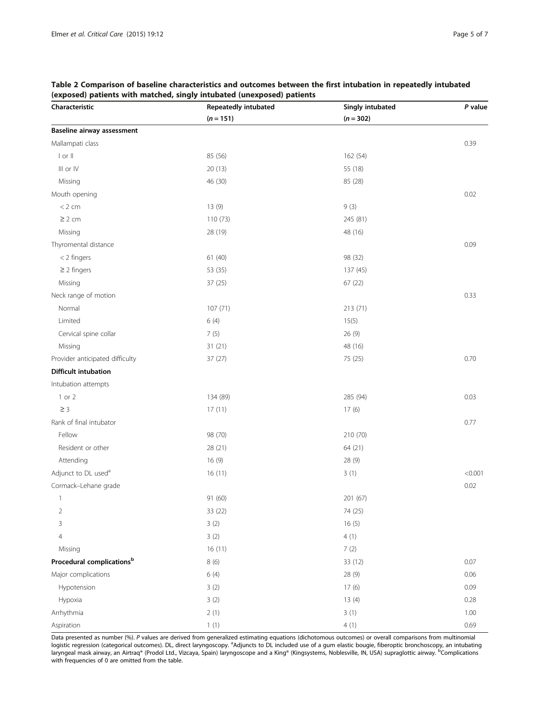| Characteristic                        | <b>Repeatedly intubated</b> | Singly intubated | P value |
|---------------------------------------|-----------------------------|------------------|---------|
|                                       | $(n = 151)$                 | $(n = 302)$      |         |
| <b>Baseline airway assessment</b>     |                             |                  |         |
| Mallampati class                      |                             |                  | 0.39    |
| $I$ or $II$                           | 85 (56)                     | 162 (54)         |         |
| III or IV                             | 20(13)                      | 55 (18)          |         |
| Missing                               | 46 (30)                     | 85 (28)          |         |
| Mouth opening                         |                             |                  | 0.02    |
| < 2 cm                                | 13(9)                       | 9(3)             |         |
| $\geq$ 2 cm                           | 110 (73)                    | 245 (81)         |         |
| Missing                               | 28 (19)                     | 48 (16)          |         |
| Thyromental distance                  |                             |                  | 0.09    |
| < 2 fingers                           | 61(40)                      | 98 (32)          |         |
| $\geq$ 2 fingers                      | 53 (35)                     | 137 (45)         |         |
| Missing                               | 37 (25)                     | 67 (22)          |         |
| Neck range of motion                  |                             |                  | 0.33    |
| Normal                                | 107 (71)                    | 213 (71)         |         |
| Limited                               | 6(4)                        | 15(5)            |         |
| Cervical spine collar                 | 7(5)                        | 26 (9)           |         |
| Missing                               | 31 (21)                     | 48 (16)          |         |
| Provider anticipated difficulty       | 37 (27)                     | 75 (25)          | 0.70    |
| <b>Difficult intubation</b>           |                             |                  |         |
| Intubation attempts                   |                             |                  |         |
| 1 or 2                                | 134 (89)                    | 285 (94)         | 0.03    |
| $\geq$ 3                              | 17(11)                      | 17(6)            |         |
| Rank of final intubator               |                             |                  | 0.77    |
| Fellow                                | 98 (70)                     | 210 (70)         |         |
| Resident or other                     | 28 (21)                     | 64 (21)          |         |
| Attending                             | 16(9)                       | 28 (9)           |         |
| Adjunct to DL used <sup>a</sup>       | 16(11)                      | 3(1)             | < 0.001 |
| Cormack-Lehane grade                  |                             |                  | 0.02    |
| 1                                     | 91 (60)                     | 201 (67)         |         |
| $\overline{2}$                        | 33 (22)                     | 74 (25)          |         |
| 3                                     | 3(2)                        | 16(5)            |         |
| $\overline{4}$                        | 3(2)                        | 4(1)             |         |
| Missing                               | 16(11)                      | 7(2)             |         |
| Procedural complications <sup>b</sup> | 8(6)                        | 33 (12)          | 0.07    |
| Major complications                   | 6(4)                        | 28 (9)           | 0.06    |
| Hypotension                           | 3(2)                        | 17(6)            | 0.09    |
| Hypoxia                               | 3(2)                        | 13(4)            | 0.28    |
| Arrhythmia                            | 2(1)                        | 3(1)             | 1.00    |
| Aspiration                            | 1(1)                        | 4(1)             | 0.69    |

<span id="page-4-0"></span>Table 2 Comparison of baseline characteristics and outcomes between the first intubation in repeatedly intubated (exposed) patients with matched, singly intubated (unexposed) patients

Data presented as number (%). P values are derived from generalized estimating equations (dichotomous outcomes) or overall comparisons from multinomial logistic regression (categorical outcomes). DL, direct laryngoscopy. <sup>a</sup>Adjuncts to DL included use of a gum elastic bougie, fiberoptic bronchoscopy, an intubating laryngeal mask airway, an Airtraq® (Prodol Ltd., Vizcaya, Spain) laryngoscope and a King® (Kingsystems, Noblesville, IN, USA) supraglottic airway. <sup>b</sup>Complications with frequencies of 0 are omitted from the table.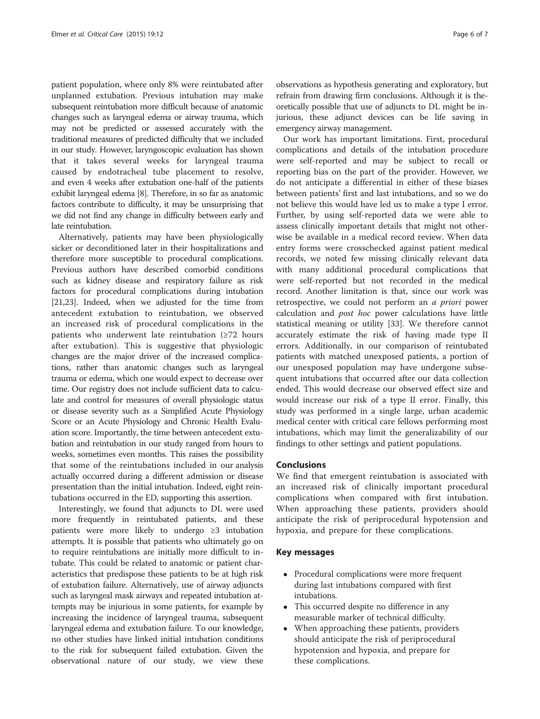patient population, where only 8% were reintubated after unplanned extubation. Previous intubation may make subsequent reintubation more difficult because of anatomic changes such as laryngeal edema or airway trauma, which may not be predicted or assessed accurately with the traditional measures of predicted difficulty that we included in our study. However, laryngoscopic evaluation has shown that it takes several weeks for laryngeal trauma caused by endotracheal tube placement to resolve, and even 4 weeks after extubation one-half of the patients exhibit laryngeal edema [\[8](#page-6-0)]. Therefore, in so far as anatomic factors contribute to difficulty, it may be unsurprising that we did not find any change in difficulty between early and late reintubation.

Alternatively, patients may have been physiologically sicker or deconditioned later in their hospitalizations and therefore more susceptible to procedural complications. Previous authors have described comorbid conditions such as kidney disease and respiratory failure as risk factors for procedural complications during intubation [[21,23](#page-6-0)]. Indeed, when we adjusted for the time from antecedent extubation to reintubation, we observed an increased risk of procedural complications in the patients who underwent late reintubation (≥72 hours after extubation). This is suggestive that physiologic changes are the major driver of the increased complications, rather than anatomic changes such as laryngeal trauma or edema, which one would expect to decrease over time. Our registry does not include sufficient data to calculate and control for measures of overall physiologic status or disease severity such as a Simplified Acute Physiology Score or an Acute Physiology and Chronic Health Evaluation score. Importantly, the time between antecedent extubation and reintubation in our study ranged from hours to weeks, sometimes even months. This raises the possibility that some of the reintubations included in our analysis actually occurred during a different admission or disease presentation than the initial intubation. Indeed, eight reintubations occurred in the ED, supporting this assertion.

Interestingly, we found that adjuncts to DL were used more frequently in reintubated patients, and these patients were more likely to undergo ≥3 intubation attempts. It is possible that patients who ultimately go on to require reintubations are initially more difficult to intubate. This could be related to anatomic or patient characteristics that predispose these patients to be at high risk of extubation failure. Alternatively, use of airway adjuncts such as laryngeal mask airways and repeated intubation attempts may be injurious in some patients, for example by increasing the incidence of laryngeal trauma, subsequent laryngeal edema and extubation failure. To our knowledge, no other studies have linked initial intubation conditions to the risk for subsequent failed extubation. Given the observational nature of our study, we view these

observations as hypothesis generating and exploratory, but refrain from drawing firm conclusions. Although it is theoretically possible that use of adjuncts to DL might be injurious, these adjunct devices can be life saving in emergency airway management.

Our work has important limitations. First, procedural complications and details of the intubation procedure were self-reported and may be subject to recall or reporting bias on the part of the provider. However, we do not anticipate a differential in either of these biases between patients' first and last intubations, and so we do not believe this would have led us to make a type I error. Further, by using self-reported data we were able to assess clinically important details that might not otherwise be available in a medical record review. When data entry forms were crosschecked against patient medical records, we noted few missing clinically relevant data with many additional procedural complications that were self-reported but not recorded in the medical record. Another limitation is that, since our work was retrospective, we could not perform an a priori power calculation and post hoc power calculations have little statistical meaning or utility [[33\]](#page-6-0). We therefore cannot accurately estimate the risk of having made type II errors. Additionally, in our comparison of reintubated patients with matched unexposed patients, a portion of our unexposed population may have undergone subsequent intubations that occurred after our data collection ended. This would decrease our observed effect size and would increase our risk of a type II error. Finally, this study was performed in a single large, urban academic medical center with critical care fellows performing most intubations, which may limit the generalizability of our findings to other settings and patient populations.

# **Conclusions**

We find that emergent reintubation is associated with an increased risk of clinically important procedural complications when compared with first intubation. When approaching these patients, providers should anticipate the risk of periprocedural hypotension and hypoxia, and prepare for these complications.

# Key messages

- Procedural complications were more frequent during last intubations compared with first intubations.
- This occurred despite no difference in any measurable marker of technical difficulty.
- When approaching these patients, providers should anticipate the risk of periprocedural hypotension and hypoxia, and prepare for these complications.